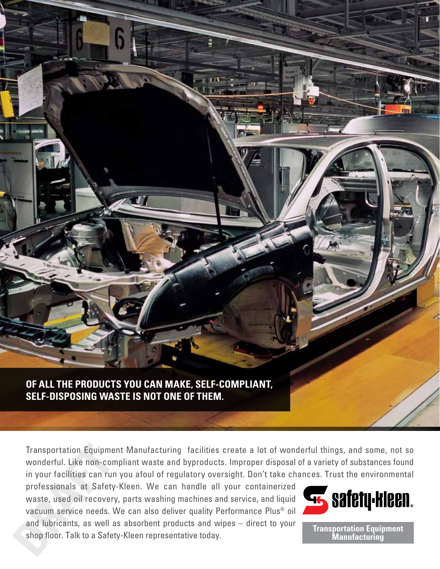

6

E M

Transportation Equipment Manufacturing facilities create a lot of wonderful things, and some, not so wonderful. Like non-compliant waste and byproducts. Improper disposal of a variety of substances found in your facilities can run you afoul of regulatory oversight. Don't take chances. Trust the environmental

professionals at Safety-Kleen. We can handle all your containerized waste, used oil recovery, parts washing machines and service, and liquid vacuum service needs. We can also deliver quality Performance Plus® oil and lubricants, as well as absorbent products and wipes – direct to your shop floor. Talk to a Safety-Kleen representative today.



**Transportation Equipment Manufacturing**